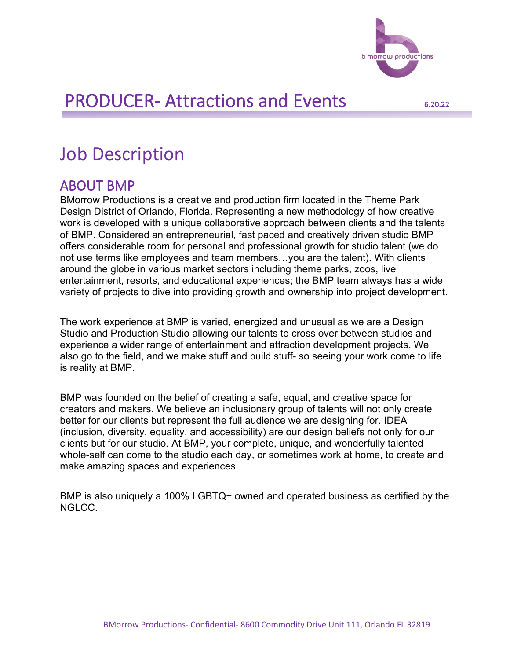

# Job Description

#### ABOUT BMP

BMorrow Productions is a creative and production firm located in the Theme Park Design District of Orlando, Florida. Representing a new methodology of how creative work is developed with a unique collaborative approach between clients and the talents of BMP. Considered an entrepreneurial, fast paced and creatively driven studio BMP offers considerable room for personal and professional growth for studio talent (we do not use terms like employees and team members…you are the talent). With clients around the globe in various market sectors including theme parks, zoos, live entertainment, resorts, and educational experiences; the BMP team always has a wide variety of projects to dive into providing growth and ownership into project development.

The work experience at BMP is varied, energized and unusual as we are a Design Studio and Production Studio allowing our talents to cross over between studios and experience a wider range of entertainment and attraction development projects. We also go to the field, and we make stuff and build stuff- so seeing your work come to life is reality at BMP.

BMP was founded on the belief of creating a safe, equal, and creative space for creators and makers. We believe an inclusionary group of talents will not only create better for our clients but represent the full audience we are designing for. IDEA (inclusion, diversity, equality, and accessibility) are our design beliefs not only for our clients but for our studio. At BMP, your complete, unique, and wonderfully talented whole-self can come to the studio each day, or sometimes work at home, to create and make amazing spaces and experiences.

BMP is also uniquely a 100% LGBTQ+ owned and operated business as certified by the NGLCC.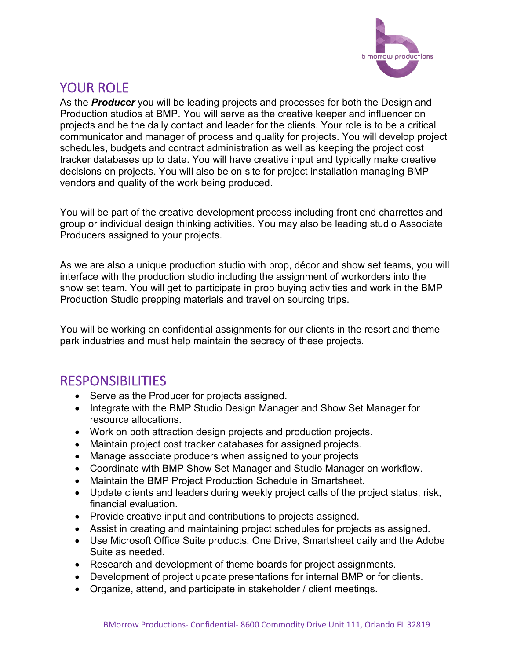

## YOUR ROLF

As the *Producer* you will be leading projects and processes for both the Design and Production studios at BMP. You will serve as the creative keeper and influencer on projects and be the daily contact and leader for the clients. Your role is to be a critical communicator and manager of process and quality for projects. You will develop project schedules, budgets and contract administration as well as keeping the project cost tracker databases up to date. You will have creative input and typically make creative decisions on projects. You will also be on site for project installation managing BMP vendors and quality of the work being produced.

You will be part of the creative development process including front end charrettes and group or individual design thinking activities. You may also be leading studio Associate Producers assigned to your projects.

As we are also a unique production studio with prop, décor and show set teams, you will interface with the production studio including the assignment of workorders into the show set team. You will get to participate in prop buying activities and work in the BMP Production Studio prepping materials and travel on sourcing trips.

You will be working on confidential assignments for our clients in the resort and theme park industries and must help maintain the secrecy of these projects.

### RESPONSIBILITIES

- Serve as the Producer for projects assigned.
- Integrate with the BMP Studio Design Manager and Show Set Manager for resource allocations.
- Work on both attraction design projects and production projects.
- Maintain project cost tracker databases for assigned projects.
- Manage associate producers when assigned to your projects
- Coordinate with BMP Show Set Manager and Studio Manager on workflow.
- Maintain the BMP Project Production Schedule in Smartsheet.
- Update clients and leaders during weekly project calls of the project status, risk, financial evaluation.
- Provide creative input and contributions to projects assigned.
- Assist in creating and maintaining project schedules for projects as assigned.
- Use Microsoft Office Suite products, One Drive, Smartsheet daily and the Adobe Suite as needed.
- Research and development of theme boards for project assignments.
- Development of project update presentations for internal BMP or for clients.
- Organize, attend, and participate in stakeholder / client meetings.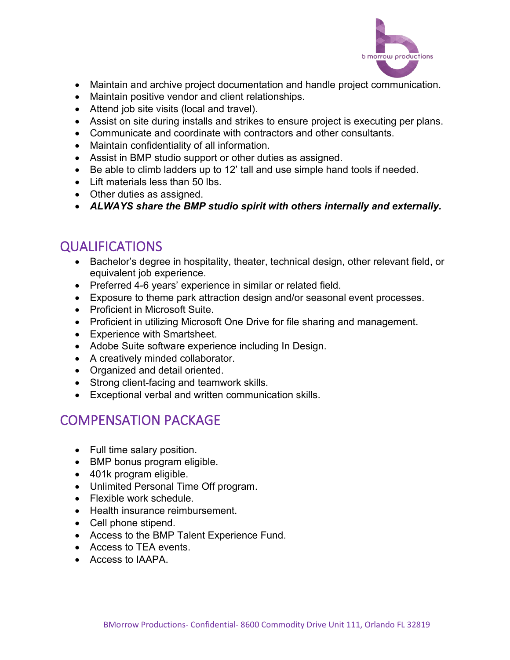

- Maintain and archive project documentation and handle project communication.
- Maintain positive vendor and client relationships.
- Attend job site visits (local and travel).
- Assist on site during installs and strikes to ensure project is executing per plans.
- Communicate and coordinate with contractors and other consultants.
- Maintain confidentiality of all information.
- Assist in BMP studio support or other duties as assigned.
- Be able to climb ladders up to 12' tall and use simple hand tools if needed.
- Lift materials less than 50 lbs.
- Other duties as assigned.
- *ALWAYS share the BMP studio spirit with others internally and externally.*

## QUALIFICATIONS

- Bachelor's degree in hospitality, theater, technical design, other relevant field, or equivalent job experience.
- Preferred 4-6 years' experience in similar or related field.
- Exposure to theme park attraction design and/or seasonal event processes.
- Proficient in Microsoft Suite.
- Proficient in utilizing Microsoft One Drive for file sharing and management.
- Experience with Smartsheet.
- Adobe Suite software experience including In Design.
- A creatively minded collaborator.
- Organized and detail oriented.
- Strong client-facing and teamwork skills.
- Exceptional verbal and written communication skills.

## COMPENSATION PACKAGE

- Full time salary position.
- BMP bonus program eligible.
- 401k program eligible.
- Unlimited Personal Time Off program.
- Flexible work schedule.
- Health insurance reimbursement.
- Cell phone stipend.
- Access to the BMP Talent Experience Fund.
- Access to TEA events.
- Access to IAAPA.